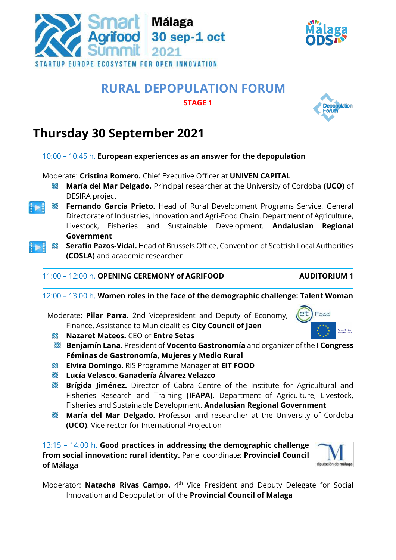

## **STAGE 1**

## **Thursday 30 September 2021**



- **Lucía Velasco. Ganadería Álvarez Velazco**
- **Brígida Jiménez.** Director of Cabra Centre of the Institute for Agricultural and Fisheries Research and Training **(IFAPA).** Department of Agriculture, Livestock, Fisheries and Sustainable Development. **Andalusian Regional Government**
- **María del Mar Delgado.** Professor and researcher at the University of Cordoba **(UCO)**. Vice-rector for International Projection

13:15 – 14:00 h. **Good practices in addressing the demographic challenge from social innovation: rural identity.** Panel coordinate: **Provincial Council of Málaga**

Moderator: **Natacha Rivas Campo.** 4<sup>th</sup> Vice President and Deputy Delegate for Social Innovation and Depopulation of the **Provincial Council of Malaga**







diputación de málaga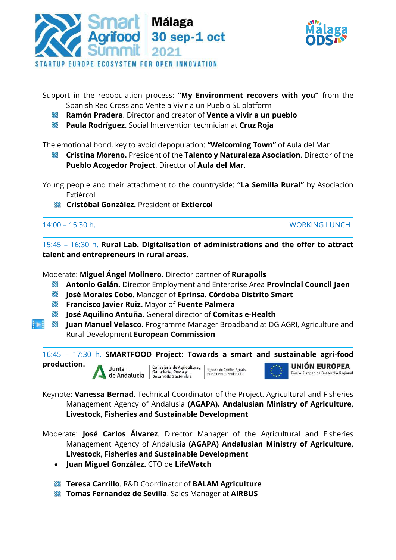



Support in the repopulation process: **"My Environment recovers with you"** from the Spanish Red Cross and Vente a Vivir a un Pueblo SL platform

- **Ramón Pradera**. Director and creator of **Vente a vivir a un pueblo**
- **Paula Rodríguez**. Social Intervention technician at **Cruz Roja**

The emotional bond, key to avoid depopulation: **"Welcoming Town"** of Aula del Mar

**Cristina Moreno.** President of the **Talento y Naturaleza Asociation**. Director of the **Pueblo Acogedor Project**. Director of **Aula del Mar**.

Young people and their attachment to the countryside: **"La Semilla Rural"** by Asociación Extiércol

**Cristóbal González.** President of **Extiercol**

14:00 – 15:30 h. WORKING LUNCH

15:45 – 16:30 h. **Rural Lab. Digitalisation of administrations and the offer to attract talent and entrepreneurs in rural areas.**

Moderate: **Miguel Ángel Molinero.** Director partner of **Rurapolis**

- R **Antonio Galán.** Director Employment and Enterprise Area **Provincial Council Jaen**
- **José Morales Cobo.** Manager of **Eprinsa. Córdoba Distrito Smart R**
- **Francisco Javier Ruiz.** Mayor of **Fuente Palmera**
- K **José Aquilino Antuña.** General director of **Comitas e-Health**
- IЫ R **Juan Manuel Velasco.** Programme Manager Broadband at DG AGRI, Agriculture and Rural Development **European Commission**

16:45 – 17:30 h. **SMARTFOOD Project: Towards a smart and sustainable agri-food production.** Consejería de Agricultura,<br>Ganadería, Pesca y UNIÓN EUROPEA Junta Agencia de Gestión Agraria<br>y Pesquera de Andalucía Fondo Europeo de Desarrollo Regional de Andalucía | Desarrollo Sostenible

Keynote: **Vanessa Bernad**. Technical Coordinator of the Project. Agricultural and Fisheries Management Agency of Andalusia **(AGAPA). Andalusian Ministry of Agriculture, Livestock, Fisheries and Sustainable Development**

- Moderate: **José Carlos Álvarez**. Director Manager of the Agricultural and Fisheries Management Agency of Andalusia **(AGAPA) Andalusian Ministry of Agriculture, Livestock, Fisheries and Sustainable Development**
	- **Juan Miguel González.** CTO de **LifeWatch**
	- **Teresa Carrillo**. R&D Coordinator of **BALAM Agriculture**
	- **Tomas Fernandez de Sevilla**. Sales Manager at **AIRBUS**